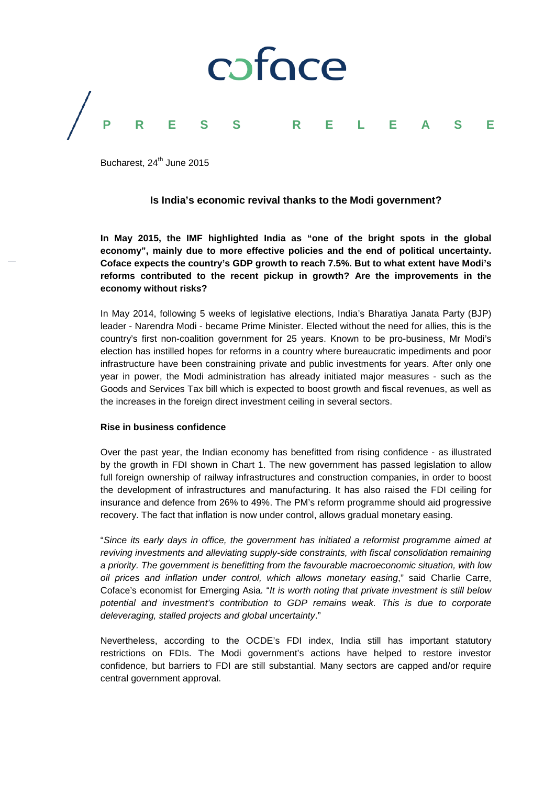

Bucharest,  $24^{th}$  June 2015

## **Is India's economic revival thanks to the Modi government?**

**In May 2015, the IMF highlighted India as "one of the bright spots in the global economy", mainly due to more effective policies and the end of political uncertainty. Coface expects the country's GDP growth to reach 7.5%. But to what extent have Modi's reforms contributed to the recent pickup in growth? Are the improvements in the economy without risks?**

In May 2014, following 5 weeks of legislative elections, India's Bharatiya Janata Party (BJP) leader - Narendra Modi - became Prime Minister. Elected without the need for allies, this is the country's first non-coalition government for 25 years. Known to be pro-business, Mr Modi's election has instilled hopes for reforms in a country where bureaucratic impediments and poor infrastructure have been constraining private and public investments for years. After only one year in power, the Modi administration has already initiated major measures - such as the Goods and Services Tax bill which is expected to boost growth and fiscal revenues, as well as the increases in the foreign direct investment ceiling in several sectors.

### **Rise in business confidence**

Over the past year, the Indian economy has benefitted from rising confidence - as illustrated by the growth in FDI shown in Chart 1. The new government has passed legislation to allow full foreign ownership of railway infrastructures and construction companies, in order to boost the development of infrastructures and manufacturing. It has also raised the FDI ceiling for insurance and defence from 26% to 49%. The PM's reform programme should aid progressive recovery. The fact that inflation is now under control, allows gradual monetary easing.

"*Since its early days in office, the government has initiated a reformist programme aimed at reviving investments and alleviating supply-side constraints, with fiscal consolidation remaining a priority. The government is benefitting from the favourable macroeconomic situation, with low oil prices and inflation under control, which allows monetary easing*," said Charlie Carre, Coface's economist for Emerging Asia*.* "*It is worth noting that private investment is still below potential and investment's contribution to GDP remains weak. This is due to corporate deleveraging, stalled projects and global uncertainty*."

Nevertheless, according to the OCDE's FDI index, India still has important statutory restrictions on FDIs. The Modi government's actions have helped to restore investor confidence, but barriers to FDI are still substantial. Many sectors are capped and/or require central government approval.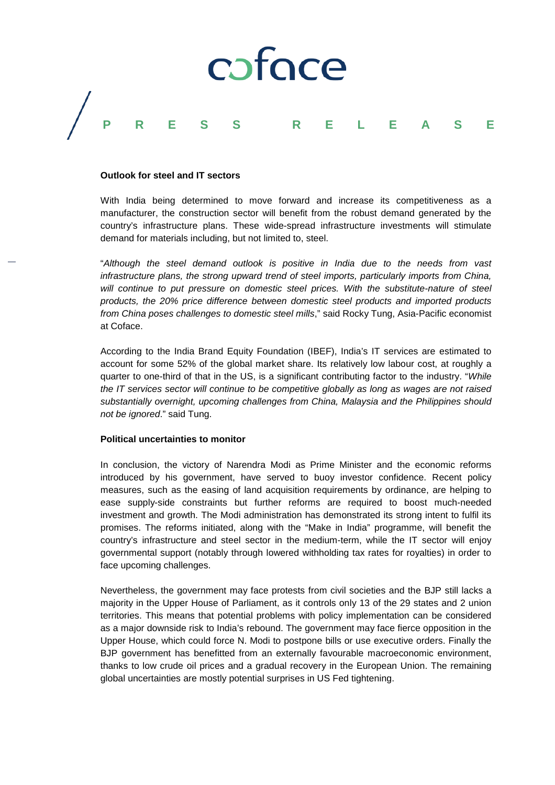

### **Outlook for steel and IT sectors**

With India being determined to move forward and increase its competitiveness as a manufacturer, the construction sector will benefit from the robust demand generated by the country's infrastructure plans. These wide-spread infrastructure investments will stimulate demand for materials including, but not limited to, steel.

"*Although the steel demand outlook is positive in India due to the needs from vast infrastructure plans, the strong upward trend of steel imports, particularly imports from China, will continue to put pressure on domestic steel prices. With the substitute-nature of steel products, the 20% price difference between domestic steel products and imported products from China poses challenges to domestic steel mills*," said Rocky Tung, Asia-Pacific economist at Coface.

According to the India Brand Equity Foundation (IBEF), India's IT services are estimated to account for some 52% of the global market share. Its relatively low labour cost, at roughly a quarter to one-third of that in the US, is a significant contributing factor to the industry. "*While the IT services sector will continue to be competitive globally as long as wages are not raised substantially overnight, upcoming challenges from China, Malaysia and the Philippines should not be ignored*." said Tung.

## **Political uncertainties to monitor**

In conclusion, the victory of Narendra Modi as Prime Minister and the economic reforms introduced by his government, have served to buoy investor confidence. Recent policy measures, such as the easing of land acquisition requirements by ordinance, are helping to ease supply-side constraints but further reforms are required to boost much-needed investment and growth. The Modi administration has demonstrated its strong intent to fulfil its promises. The reforms initiated, along with the "Make in India" programme, will benefit the country's infrastructure and steel sector in the medium-term, while the IT sector will enjoy governmental support (notably through lowered withholding tax rates for royalties) in order to face upcoming challenges.

Nevertheless, the government may face protests from civil societies and the BJP still lacks a majority in the Upper House of Parliament, as it controls only 13 of the 29 states and 2 union territories. This means that potential problems with policy implementation can be considered as a major downside risk to India's rebound. The government may face fierce opposition in the Upper House, which could force N. Modi to postpone bills or use executive orders. Finally the BJP government has benefitted from an externally favourable macroeconomic environment, thanks to low crude oil prices and a gradual recovery in the European Union. The remaining global uncertainties are mostly potential surprises in US Fed tightening.